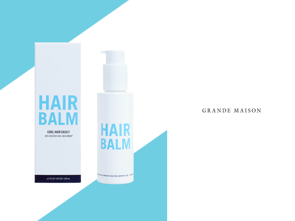## **HAIR BALM**

**COOL HAIR EASILY** DES CHEVEUX COOL FACILEMENT

e 4 FL 02 | 02 UQ | 118 mL

**HAIR BALM UTA BE MASSINE, NEW YORK, NEW YORK 1995 - MICH.** 

### GRANDE MAISON